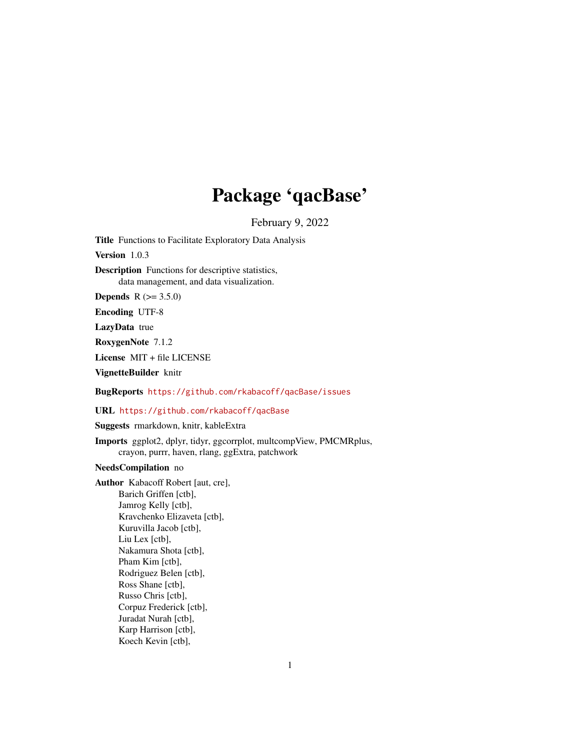# Package 'qacBase'

February 9, 2022

<span id="page-0-0"></span>Title Functions to Facilitate Exploratory Data Analysis

Version 1.0.3

Description Functions for descriptive statistics, data management, and data visualization.

**Depends**  $R (= 3.5.0)$ 

Encoding UTF-8

LazyData true

RoxygenNote 7.1.2

License MIT + file LICENSE

VignetteBuilder knitr

BugReports <https://github.com/rkabacoff/qacBase/issues>

URL <https://github.com/rkabacoff/qacBase>

Suggests rmarkdown, knitr, kableExtra

Imports ggplot2, dplyr, tidyr, ggcorrplot, multcompView, PMCMRplus, crayon, purrr, haven, rlang, ggExtra, patchwork

# NeedsCompilation no

Author Kabacoff Robert [aut, cre], Barich Griffen [ctb], Jamrog Kelly [ctb], Kravchenko Elizaveta [ctb], Kuruvilla Jacob [ctb], Liu Lex [ctb], Nakamura Shota [ctb], Pham Kim [ctb], Rodriguez Belen [ctb], Ross Shane [ctb], Russo Chris [ctb], Corpuz Frederick [ctb], Juradat Nurah [ctb], Karp Harrison [ctb], Koech Kevin [ctb],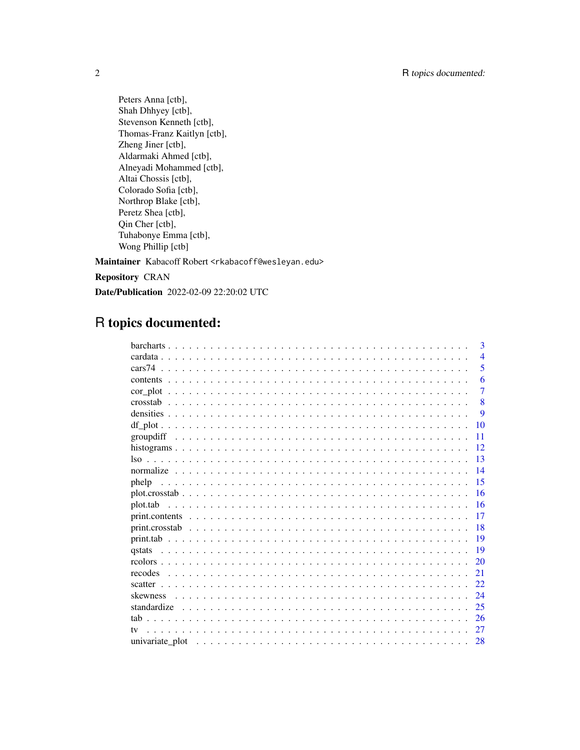Peters Anna [ctb], Shah Dhhyey [ctb], Stevenson Kenneth [ctb], Thomas-Franz Kaitlyn [ctb], Zheng Jiner [ctb], Aldarmaki Ahmed [ctb], Alneyadi Mohammed [ctb], Altai Chossis [ctb], Colorado Sofia [ctb], Northrop Blake [ctb], Peretz Shea [ctb], Qin Cher [ctb], Tuhabonye Emma [ctb], Wong Phillip [ctb]

Maintainer Kabacoff Robert <rkabacoff@wesleyan.edu>

Repository CRAN

Date/Publication 2022-02-09 22:20:02 UTC

# R topics documented:

|              | 3              |
|--------------|----------------|
|              | $\overline{4}$ |
|              | 5              |
|              | 6              |
|              | 7              |
|              | 8              |
|              | 9              |
| 10           |                |
| 11           |                |
| 12           |                |
| 13           |                |
| 14           |                |
| 15<br>phelp  |                |
| 16           |                |
| 16           |                |
| 17           |                |
| 18           |                |
| 19           |                |
| 19<br>qstats |                |
| 20           |                |
| 21           |                |
| 22.          |                |
| 24           |                |
| 25           |                |
| 26           |                |
| 27<br>$1$    |                |
| 28           |                |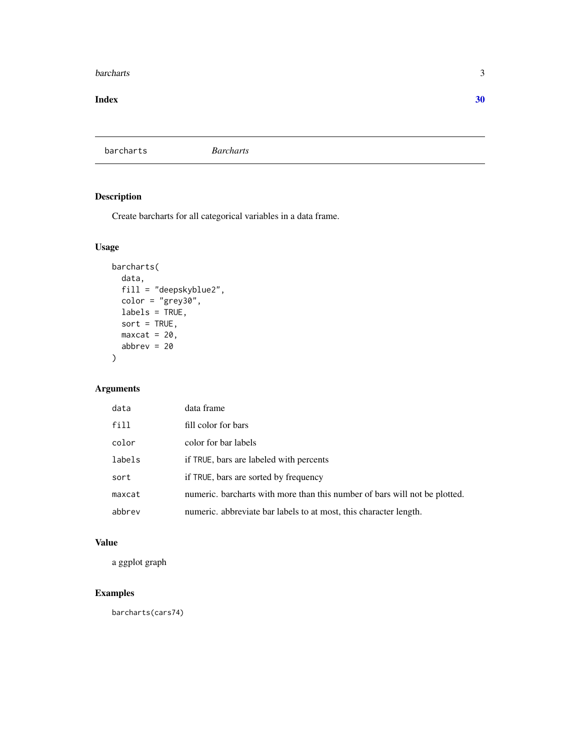#### <span id="page-2-0"></span>barcharts 3

#### $\bf 30$  $\bf 30$

barcharts *Barcharts*

# Description

Create barcharts for all categorical variables in a data frame.

# Usage

```
barcharts(
 data,
 fill = "deepskyblue2",
 color = "grey30",
 labels = TRUE,
 sort = TRUE,maxcat = 20,
 abbrev = 20)
```
# Arguments

| data   | data frame                                                                 |
|--------|----------------------------------------------------------------------------|
| fill   | fill color for bars                                                        |
| color  | color for bar labels                                                       |
| labels | if TRUE, bars are labeled with percents                                    |
| sort   | if TRUE, bars are sorted by frequency                                      |
| maxcat | numeric. barcharts with more than this number of bars will not be plotted. |
| abbrev | numeric. abbreviate bar labels to at most, this character length.          |

#### Value

a ggplot graph

# Examples

barcharts(cars74)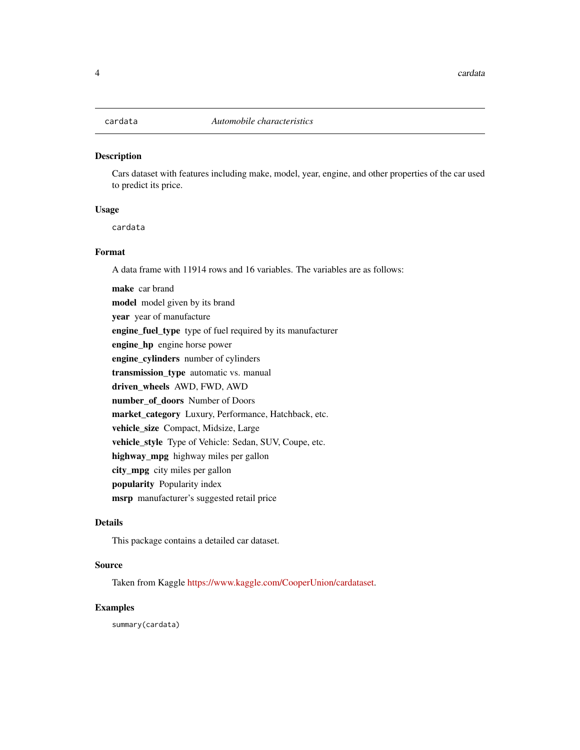<span id="page-3-0"></span>

Cars dataset with features including make, model, year, engine, and other properties of the car used to predict its price.

#### Usage

cardata

#### Format

A data frame with 11914 rows and 16 variables. The variables are as follows:

make car brand model model given by its brand year year of manufacture engine\_fuel\_type type of fuel required by its manufacturer engine\_hp engine horse power engine\_cylinders number of cylinders transmission\_type automatic vs. manual driven\_wheels AWD, FWD, AWD number\_of\_doors Number of Doors market\_category Luxury, Performance, Hatchback, etc. vehicle\_size Compact, Midsize, Large vehicle\_style Type of Vehicle: Sedan, SUV, Coupe, etc. highway\_mpg highway miles per gallon city\_mpg city miles per gallon popularity Popularity index msrp manufacturer's suggested retail price

#### Details

This package contains a detailed car dataset.

#### Source

Taken from Kaggle [https://www.kaggle.com/CooperUnion/cardataset.](https://www.kaggle.com/CooperUnion/cardataset)

#### Examples

summary(cardata)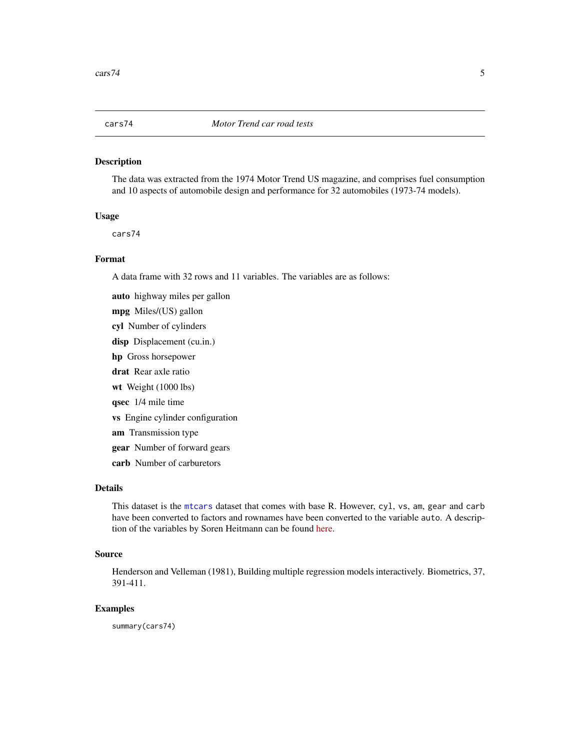<span id="page-4-0"></span>The data was extracted from the 1974 Motor Trend US magazine, and comprises fuel consumption and 10 aspects of automobile design and performance for 32 automobiles (1973-74 models).

#### Usage

cars74

#### Format

A data frame with 32 rows and 11 variables. The variables are as follows:

auto highway miles per gallon mpg Miles/(US) gallon cyl Number of cylinders disp Displacement (cu.in.) hp Gross horsepower drat Rear axle ratio wt Weight (1000 lbs) qsec 1/4 mile time vs Engine cylinder configuration am Transmission type gear Number of forward gears carb Number of carburetors

# Details

This dataset is the [mtcars](#page-0-0) dataset that comes with base R. However, cyl, vs, am, gear and carb have been converted to factors and rownames have been converted to the variable auto. A description of the variables by Soren Heitmann can be found [here.](http://rstudio-pubs-static.s3.amazonaws.com/61800_faea93548c6b49cc91cd0c5ef5059894.html)

#### Source

Henderson and Velleman (1981), Building multiple regression models interactively. Biometrics, 37, 391-411.

# Examples

summary(cars74)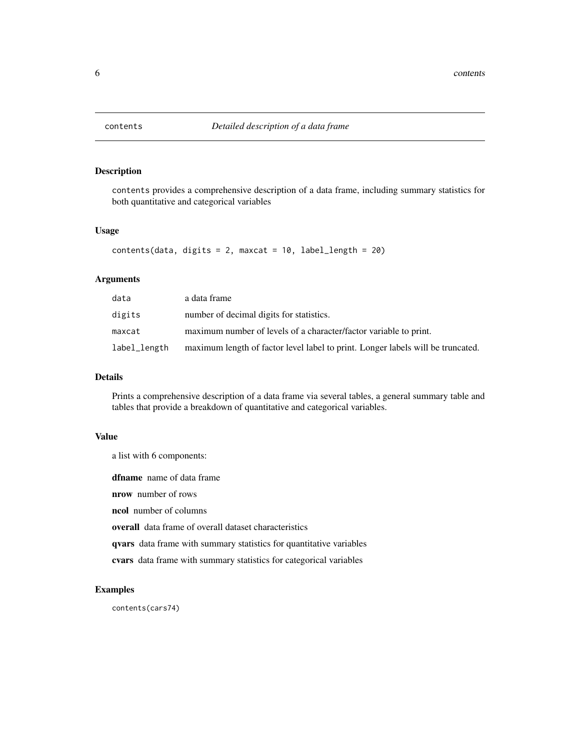<span id="page-5-1"></span><span id="page-5-0"></span>

contents provides a comprehensive description of a data frame, including summary statistics for both quantitative and categorical variables

# Usage

```
contents(data, digits = 2, maxcat = 10, label_length = 20)
```
#### Arguments

| data         | a data frame                                                                    |
|--------------|---------------------------------------------------------------------------------|
| digits       | number of decimal digits for statistics.                                        |
| maxcat       | maximum number of levels of a character/factor variable to print.               |
| label_length | maximum length of factor level label to print. Longer labels will be truncated. |

#### Details

Prints a comprehensive description of a data frame via several tables, a general summary table and tables that provide a breakdown of quantitative and categorical variables.

#### Value

a list with 6 components:

dfname name of data frame

nrow number of rows

ncol number of columns

overall data frame of overall dataset characteristics

qvars data frame with summary statistics for quantitative variables

cvars data frame with summary statistics for categorical variables

#### Examples

contents(cars74)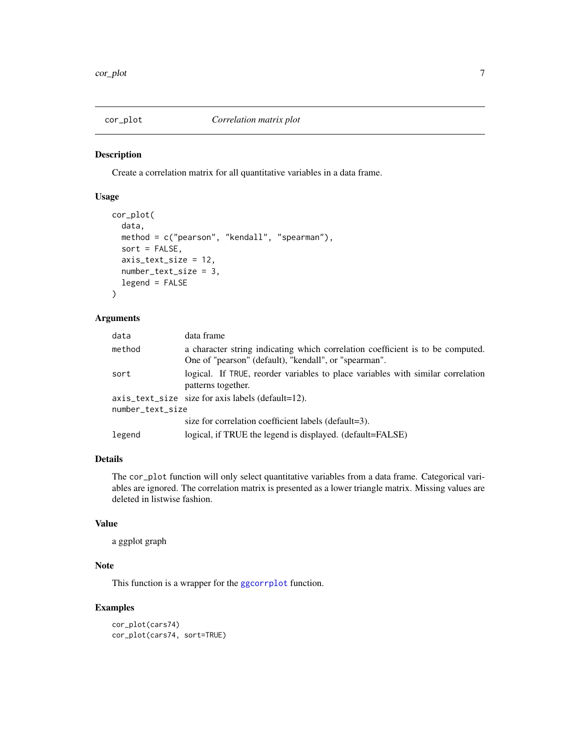<span id="page-6-0"></span>

Create a correlation matrix for all quantitative variables in a data frame.

#### Usage

```
cor_plot(
  data,
 method = c("pearson", "kendall", "spearman"),
  sort = FALSE,axis_text_size = 12,
  number_text_size = 3,
  legend = FALSE
)
```
#### Arguments

| data             | data frame                                                                                                                              |
|------------------|-----------------------------------------------------------------------------------------------------------------------------------------|
| method           | a character string indicating which correlation coefficient is to be computed.<br>One of "pearson" (default), "kendall", or "spearman". |
| sort             | logical. If TRUE, reorder variables to place variables with similar correlation<br>patterns together.                                   |
|                  | $axis_{\text{text}}$ axis $\text{text\_size}$ size for axis labels (default=12).                                                        |
| number_text_size |                                                                                                                                         |
|                  | size for correlation coefficient labels (default=3).                                                                                    |
| legend           | logical, if TRUE the legend is displayed. (default=FALSE)                                                                               |

# Details

The cor\_plot function will only select quantitative variables from a data frame. Categorical variables are ignored. The correlation matrix is presented as a lower triangle matrix. Missing values are deleted in listwise fashion.

# Value

a ggplot graph

# Note

This function is a wrapper for the [ggcorrplot](#page-0-0) function.

#### Examples

```
cor_plot(cars74)
cor_plot(cars74, sort=TRUE)
```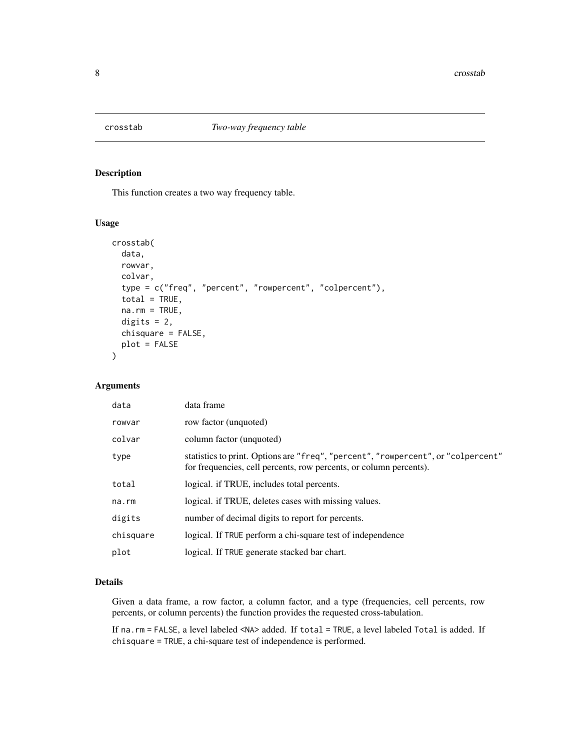<span id="page-7-0"></span>

This function creates a two way frequency table.

#### Usage

```
crosstab(
  data,
  rowvar,
  colvar,
  type = c("freq", "percent", "rowpercent", "colpercent"),
  total = TRUE,na.rm = TRUE,digits = 2,
  chisquare = FALSE,
  plot = FALSE
)
```
# Arguments

| data      | data frame                                                                                                                                              |
|-----------|---------------------------------------------------------------------------------------------------------------------------------------------------------|
| rowvar    | row factor (unquoted)                                                                                                                                   |
| colvar    | column factor (unquoted)                                                                                                                                |
| type      | statistics to print. Options are "freq", "percent", "rowpercent", or "colpercent"<br>for frequencies, cell percents, row percents, or column percents). |
| total     | logical. if TRUE, includes total percents.                                                                                                              |
| na.rm     | logical, if TRUE, deletes cases with missing values.                                                                                                    |
| digits    | number of decimal digits to report for percents.                                                                                                        |
| chisquare | logical. If TRUE perform a chi-square test of independence                                                                                              |
| plot      | logical. If TRUE generate stacked bar chart.                                                                                                            |

#### Details

Given a data frame, a row factor, a column factor, and a type (frequencies, cell percents, row percents, or column percents) the function provides the requested cross-tabulation.

If na.rm = FALSE, a level labeled <NA> added. If total = TRUE, a level labeled Total is added. If chisquare = TRUE, a chi-square test of independence is performed.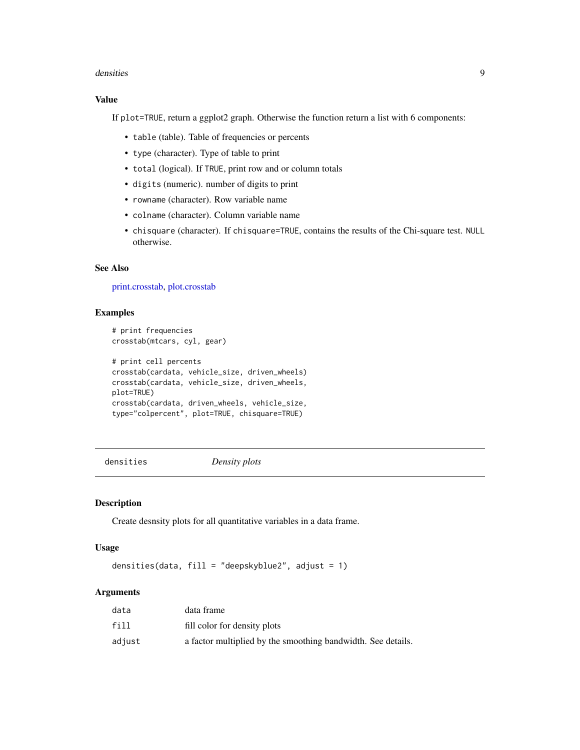#### <span id="page-8-0"></span>densities 9

# Value

If plot=TRUE, return a ggplot2 graph. Otherwise the function return a list with 6 components:

- table (table). Table of frequencies or percents
- type (character). Type of table to print
- total (logical). If TRUE, print row and or column totals
- digits (numeric). number of digits to print
- rowname (character). Row variable name
- colname (character). Column variable name
- chisquare (character). If chisquare=TRUE, contains the results of the Chi-square test. NULL otherwise.

#### See Also

[print.crosstab,](#page-17-1) [plot.crosstab](#page-15-1)

# Examples

```
# print frequencies
crosstab(mtcars, cyl, gear)
# print cell percents
crosstab(cardata, vehicle_size, driven_wheels)
crosstab(cardata, vehicle_size, driven_wheels,
plot=TRUE)
crosstab(cardata, driven_wheels, vehicle_size,
type="colpercent", plot=TRUE, chisquare=TRUE)
```
densities *Density plots*

#### Description

Create desnsity plots for all quantitative variables in a data frame.

# Usage

densities(data, fill = "deepskyblue2", adjust = 1)

#### Arguments

| data   | data frame                                                   |
|--------|--------------------------------------------------------------|
| fill   | fill color for density plots                                 |
| adjust | a factor multiplied by the smoothing bandwidth. See details. |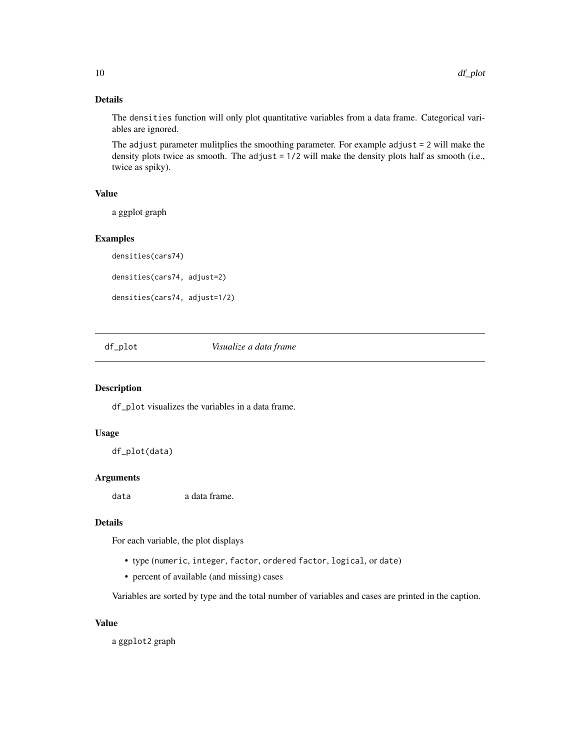# Details

The densities function will only plot quantitative variables from a data frame. Categorical variables are ignored.

The adjust parameter mulitplies the smoothing parameter. For example adjust = 2 will make the density plots twice as smooth. The adjust = 1/2 will make the density plots half as smooth (i.e., twice as spiky).

# Value

a ggplot graph

#### Examples

```
densities(cars74)
densities(cars74, adjust=2)
densities(cars74, adjust=1/2)
```
df\_plot *Visualize a data frame*

# Description

df\_plot visualizes the variables in a data frame.

#### Usage

df\_plot(data)

#### Arguments

data a data frame.

#### Details

For each variable, the plot displays

- type (numeric, integer, factor, ordered factor, logical, or date)
- percent of available (and missing) cases

Variables are sorted by type and the total number of variables and cases are printed in the caption.

#### Value

a ggplot2 graph

<span id="page-9-0"></span>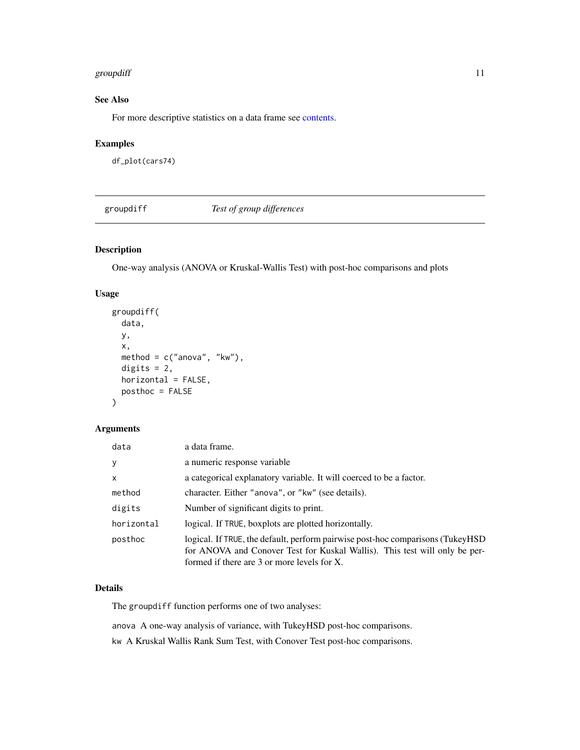#### <span id="page-10-0"></span>groupdiff the contract of the contract of the contract of the contract of the contract of the contract of the contract of the contract of the contract of the contract of the contract of the contract of the contract of the

# See Also

For more descriptive statistics on a data frame see [contents.](#page-5-1)

# Examples

df\_plot(cars74)

groupdiff *Test of group differences*

# Description

One-way analysis (ANOVA or Kruskal-Wallis Test) with post-hoc comparisons and plots

# Usage

```
groupdiff(
  data,
  y,
  x,
  method = c("anova", "kw"),
  digits = 2,
  horizontal = FALSE,
  posthoc = FALSE
\mathcal{E}
```
### Arguments

| data                                                                                                                                                                                                                    | a data frame.                                                       |  |
|-------------------------------------------------------------------------------------------------------------------------------------------------------------------------------------------------------------------------|---------------------------------------------------------------------|--|
| y                                                                                                                                                                                                                       | a numeric response variable                                         |  |
| X                                                                                                                                                                                                                       | a categorical explanatory variable. It will coerced to be a factor. |  |
| method                                                                                                                                                                                                                  | character. Either "anova", or "kw" (see details).                   |  |
| digits                                                                                                                                                                                                                  | Number of significant digits to print.                              |  |
| horizontal                                                                                                                                                                                                              | logical. If TRUE, boxplots are plotted horizontally.                |  |
| logical. If TRUE, the default, perform pairwise post-hoc comparisons (TukeyHSD)<br>posthoc<br>for ANOVA and Conover Test for Kuskal Wallis). This test will only be per-<br>formed if there are 3 or more levels for X. |                                                                     |  |

#### Details

The groupdiff function performs one of two analyses:

anova A one-way analysis of variance, with TukeyHSD post-hoc comparisons.

kw A Kruskal Wallis Rank Sum Test, with Conover Test post-hoc comparisons.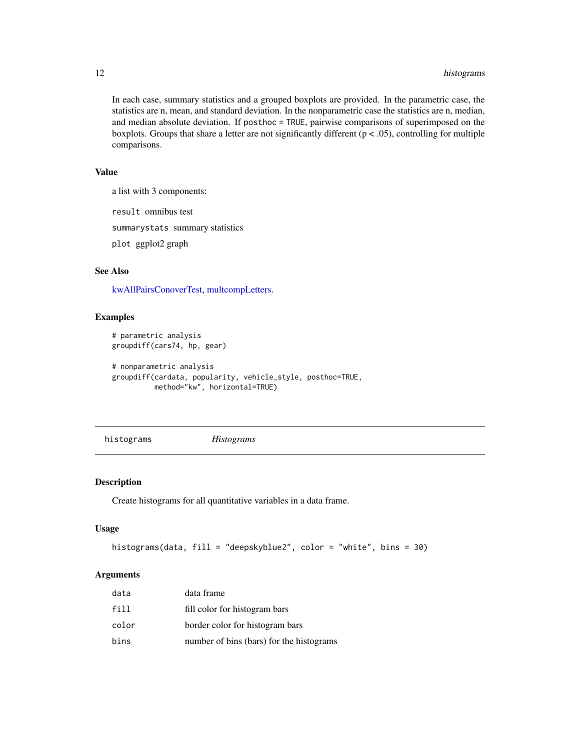# <span id="page-11-0"></span>12 histograms

In each case, summary statistics and a grouped boxplots are provided. In the parametric case, the statistics are n, mean, and standard deviation. In the nonparametric case the statistics are n, median, and median absolute deviation. If posthoc = TRUE, pairwise comparisons of superimposed on the boxplots. Groups that share a letter are not significantly different ( $p < .05$ ), controlling for multiple comparisons.

# Value

a list with 3 components:

result omnibus test

summarystats summary statistics

plot ggplot2 graph

# See Also

[kwAllPairsConoverTest,](#page-0-0) [multcompLetters.](#page-0-0)

#### Examples

```
# parametric analysis
groupdiff(cars74, hp, gear)
# nonparametric analysis
groupdiff(cardata, popularity, vehicle_style, posthoc=TRUE,
         method="kw", horizontal=TRUE)
```
histograms *Histograms*

#### Description

Create histograms for all quantitative variables in a data frame.

#### Usage

```
histograms(data, fill = "deepskyblue2", color = "white", bins = 30)
```
#### Arguments

| data  | data frame                               |
|-------|------------------------------------------|
| fill  | fill color for histogram bars            |
| color | border color for histogram bars          |
| bins  | number of bins (bars) for the histograms |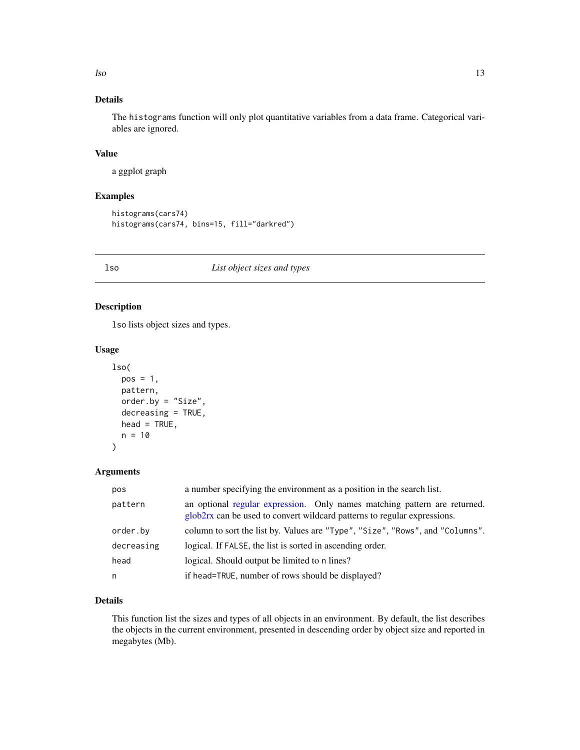<span id="page-12-0"></span>lso and the set of the set of the set of the set of the set of the set of the set of the set of the set of the set of the set of the set of the set of the set of the set of the set of the set of the set of the set of the s

# Details

The histograms function will only plot quantitative variables from a data frame. Categorical variables are ignored.

# Value

a ggplot graph

# Examples

```
histograms(cars74)
histograms(cars74, bins=15, fill="darkred")
```
#### lso *List object sizes and types*

# Description

lso lists object sizes and types.

# Usage

```
lso(
  pos = 1,
  pattern,
  order.by = "Size",
  decreasing = TRUE,
  head = TRUE,
  n = 10
```
#### Arguments

)

| pos        | a number specifying the environment as a position in the search list.                                                                                 |
|------------|-------------------------------------------------------------------------------------------------------------------------------------------------------|
| pattern    | an optional regular expression. Only names matching pattern are returned.<br>glob2rx can be used to convert wildcard patterns to regular expressions. |
| order.by   | column to sort the list by. Values are "Type", "Size", "Rows", and "Columns".                                                                         |
| decreasing | logical. If FALSE, the list is sorted in ascending order.                                                                                             |
| head       | logical. Should output be limited to n lines?                                                                                                         |
| n          | if head=TRUE, number of rows should be displayed?                                                                                                     |

# Details

This function list the sizes and types of all objects in an environment. By default, the list describes the objects in the current environment, presented in descending order by object size and reported in megabytes (Mb).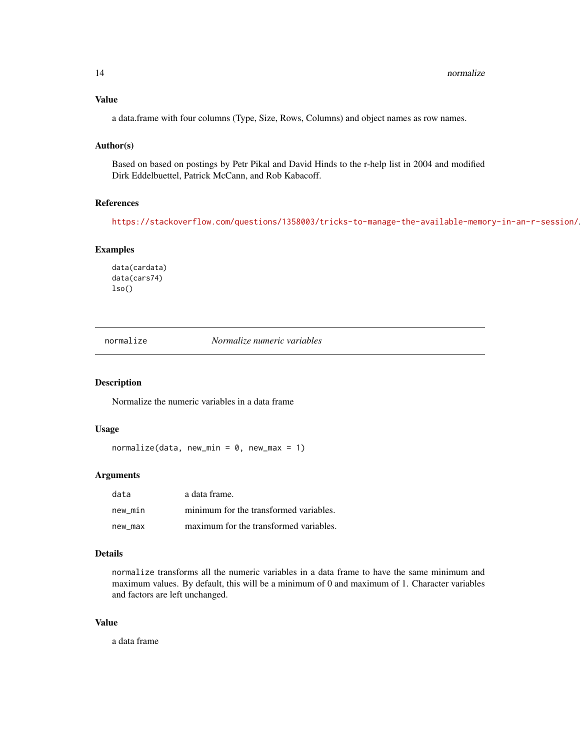#### <span id="page-13-0"></span>Value

a data.frame with four columns (Type, Size, Rows, Columns) and object names as row names.

# Author(s)

Based on based on postings by Petr Pikal and David Hinds to the r-help list in 2004 and modified Dirk Eddelbuettel, Patrick McCann, and Rob Kabacoff.

#### References

<https://stackoverflow.com/questions/1358003/tricks-to-manage-the-available-memory-in-an-r-session/>.

# Examples

data(cardata) data(cars74) lso()

normalize *Normalize numeric variables*

#### Description

Normalize the numeric variables in a data frame

#### Usage

 $normalize(data, new-min = 0, new_max = 1)$ 

### Arguments

| data    | a data frame.                          |
|---------|----------------------------------------|
| new min | minimum for the transformed variables. |
| new max | maximum for the transformed variables. |

#### Details

normalize transforms all the numeric variables in a data frame to have the same minimum and maximum values. By default, this will be a minimum of 0 and maximum of 1. Character variables and factors are left unchanged.

#### Value

a data frame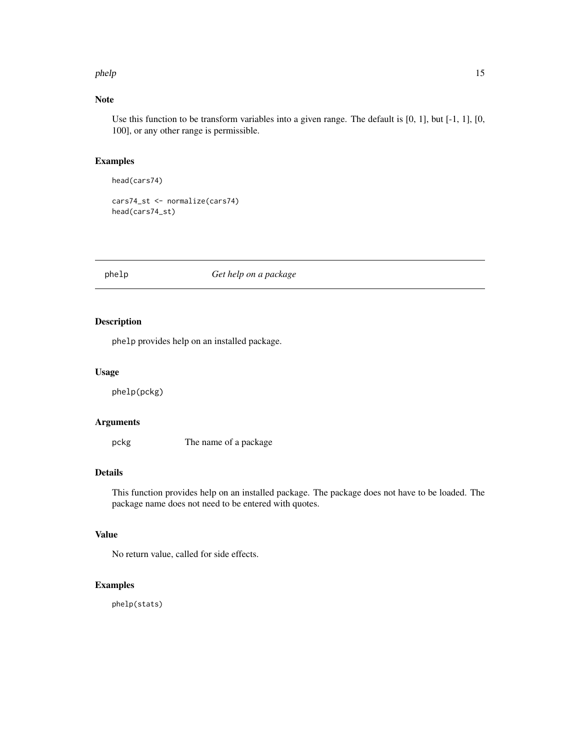#### <span id="page-14-0"></span>phelp 15

# Note

Use this function to be transform variables into a given range. The default is [0, 1], but [-1, 1], [0, 100], or any other range is permissible.

# Examples

```
head(cars74)
```
cars74\_st <- normalize(cars74) head(cars74\_st)

# phelp *Get help on a package*

# Description

phelp provides help on an installed package.

#### Usage

phelp(pckg)

# Arguments

pckg The name of a package

#### Details

This function provides help on an installed package. The package does not have to be loaded. The package name does not need to be entered with quotes.

# Value

No return value, called for side effects.

# Examples

phelp(stats)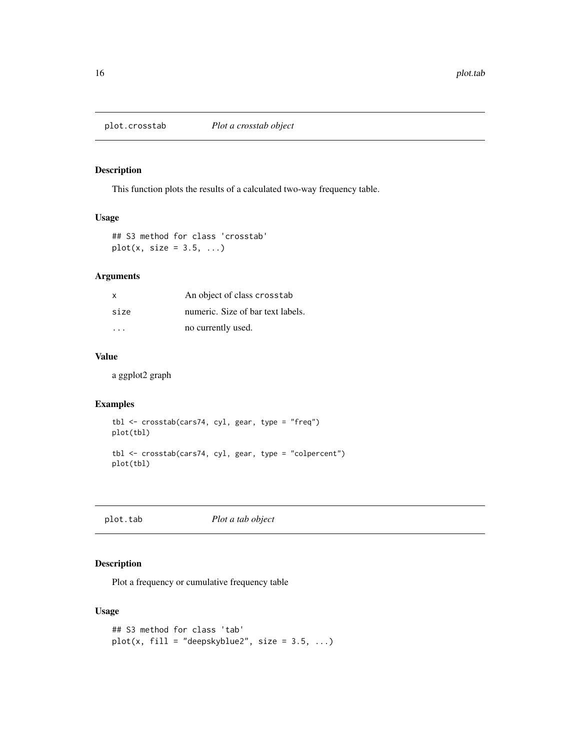<span id="page-15-1"></span><span id="page-15-0"></span>

This function plots the results of a calculated two-way frequency table.

# Usage

## S3 method for class 'crosstab'  $plot(x, size = 3.5, ...)$ 

# Arguments

| x                       | An object of class crosstab       |
|-------------------------|-----------------------------------|
| size                    | numeric. Size of bar text labels. |
| $\cdot$ $\cdot$ $\cdot$ | no currently used.                |

# Value

a ggplot2 graph

#### Examples

```
tbl <- crosstab(cars74, cyl, gear, type = "freq")
plot(tbl)
tbl <- crosstab(cars74, cyl, gear, type = "colpercent")
plot(tbl)
```
plot.tab *Plot a tab object*

# Description

Plot a frequency or cumulative frequency table

# Usage

```
## S3 method for class 'tab'
plot(x, fill = "deepskyblue2", size = 3.5, ...)
```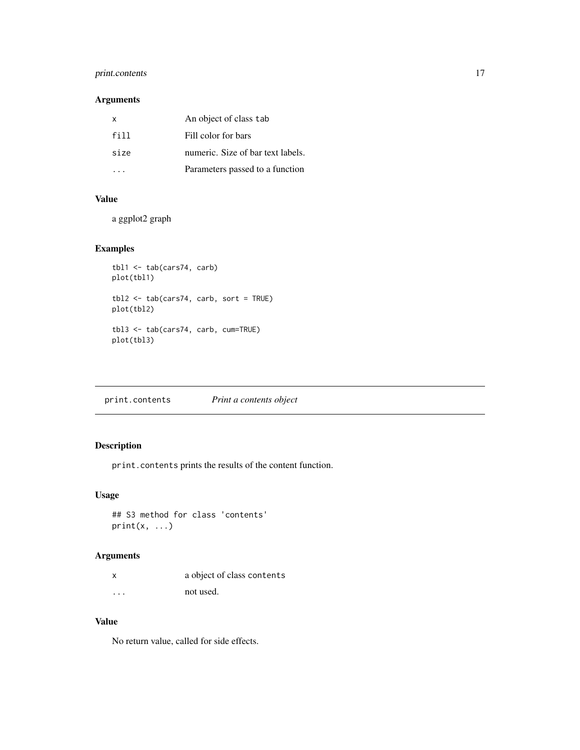# <span id="page-16-0"></span>print.contents 17

# Arguments

| $\mathsf{x}$ | An object of class tab            |
|--------------|-----------------------------------|
| fill         | Fill color for bars               |
| size         | numeric. Size of bar text labels. |
|              | Parameters passed to a function   |

# Value

a ggplot2 graph

# Examples

```
tbl1 <- tab(cars74, carb)
plot(tbl1)
tbl2 <- tab(cars74, carb, sort = TRUE)
plot(tbl2)
tbl3 <- tab(cars74, carb, cum=TRUE)
plot(tbl3)
```
print.contents *Print a contents object*

# Description

print.contents prints the results of the content function.

# Usage

```
## S3 method for class 'contents'
print(x, \ldots)
```
# Arguments

| x        | a object of class contents |
|----------|----------------------------|
| $\cdots$ | not used.                  |

# Value

No return value, called for side effects.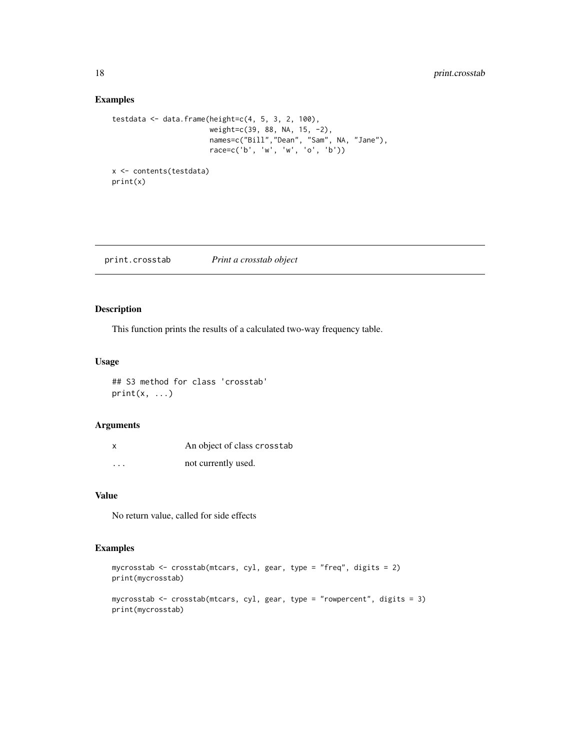# Examples

```
testdata <- data.frame(height=c(4, 5, 3, 2, 100),
                       weight=c(39, 88, NA, 15, -2),
                       names=c("Bill","Dean", "Sam", NA, "Jane"),
                       race=c('b', 'w', 'w', 'o', 'b'))
x <- contents(testdata)
print(x)
```
<span id="page-17-1"></span>print.crosstab *Print a crosstab object*

#### Description

This function prints the results of a calculated two-way frequency table.

#### Usage

## S3 method for class 'crosstab'  $print(x, \ldots)$ 

#### Arguments

| X        | An object of class crosstab |
|----------|-----------------------------|
| $\cdots$ | not currently used.         |

# Value

No return value, called for side effects

# Examples

```
mycrosstab <- crosstab(mtcars, cyl, gear, type = "freq", digits = 2)
print(mycrosstab)
mycrosstab <- crosstab(mtcars, cyl, gear, type = "rowpercent", digits = 3)
print(mycrosstab)
```
<span id="page-17-0"></span>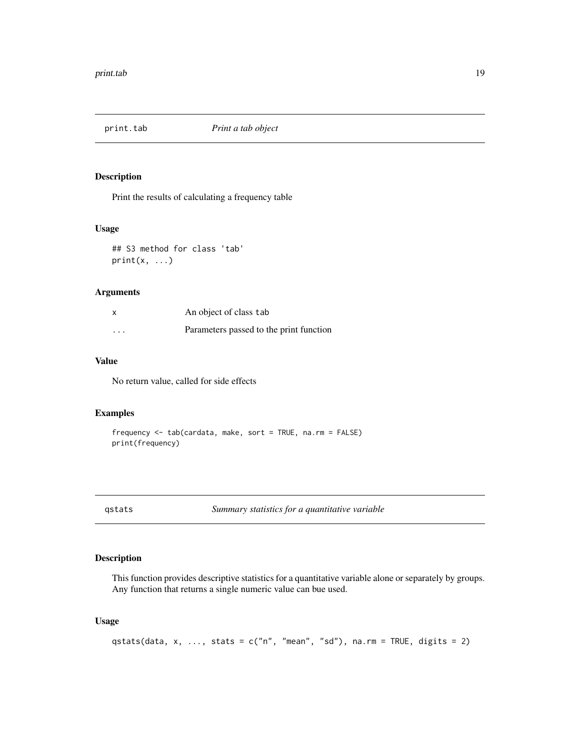<span id="page-18-0"></span>

Print the results of calculating a frequency table

#### Usage

## S3 method for class 'tab'  $print(x, \ldots)$ 

# Arguments

| x                       | An object of class tab                  |
|-------------------------|-----------------------------------------|
| $\cdot$ $\cdot$ $\cdot$ | Parameters passed to the print function |

# Value

No return value, called for side effects

# Examples

frequency <- tab(cardata, make, sort = TRUE, na.rm = FALSE) print(frequency)

qstats *Summary statistics for a quantitative variable*

### Description

This function provides descriptive statistics for a quantitative variable alone or separately by groups. Any function that returns a single numeric value can bue used.

# Usage

```
qstats(data, x, ..., stats = c("n", "mean", "sd"), na.rm = TRUE, digits = 2)
```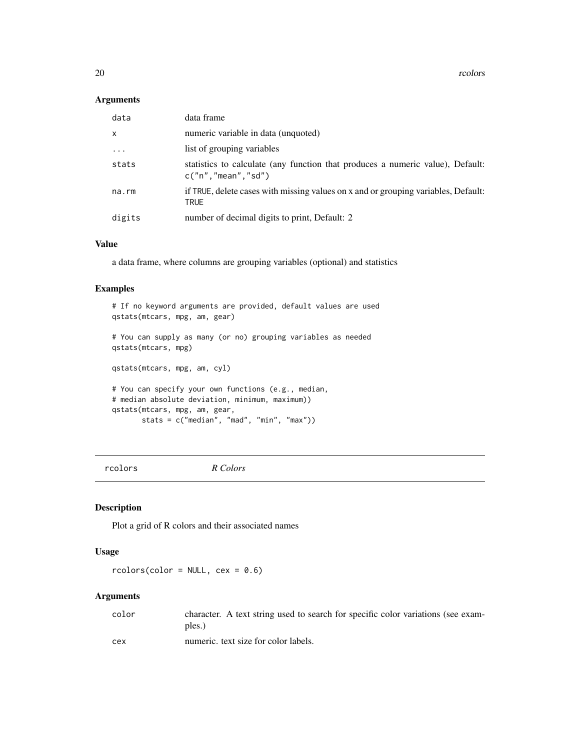<span id="page-19-0"></span>20 rcolors and the contract of the contract of the contract of the contract of the contract of the contract of the contract of the contract of the contract of the contract of the contract of the contract of the contract of

#### Arguments

| data        | data frame                                                                                             |
|-------------|--------------------------------------------------------------------------------------------------------|
| X           | numeric variable in data (unquoted)                                                                    |
| $\ddots$ .  | list of grouping variables                                                                             |
| stats       | statistics to calculate (any function that produces a numeric value), Default:<br>c("n", "mean", "sd") |
| $na$ . $rm$ | if TRUE, delete cases with missing values on x and or grouping variables, Default:<br>TRUE             |
| digits      | number of decimal digits to print, Default: 2                                                          |

#### Value

a data frame, where columns are grouping variables (optional) and statistics

# Examples

```
# If no keyword arguments are provided, default values are used
qstats(mtcars, mpg, am, gear)
# You can supply as many (or no) grouping variables as needed
qstats(mtcars, mpg)
qstats(mtcars, mpg, am, cyl)
# You can specify your own functions (e.g., median,
# median absolute deviation, minimum, maximum))
qstats(mtcars, mpg, am, gear,
       stats = c("median", "mad", "min", "max"))
```
rcolors *R Colors*

# Description

Plot a grid of R colors and their associated names

# Usage

 $rcolor(color = NULL, cex = 0.6)$ 

# Arguments

| color | character. A text string used to search for specific color variations (see exam-<br>ples.) |
|-------|--------------------------------------------------------------------------------------------|
| cex   | numeric, text size for color labels.                                                       |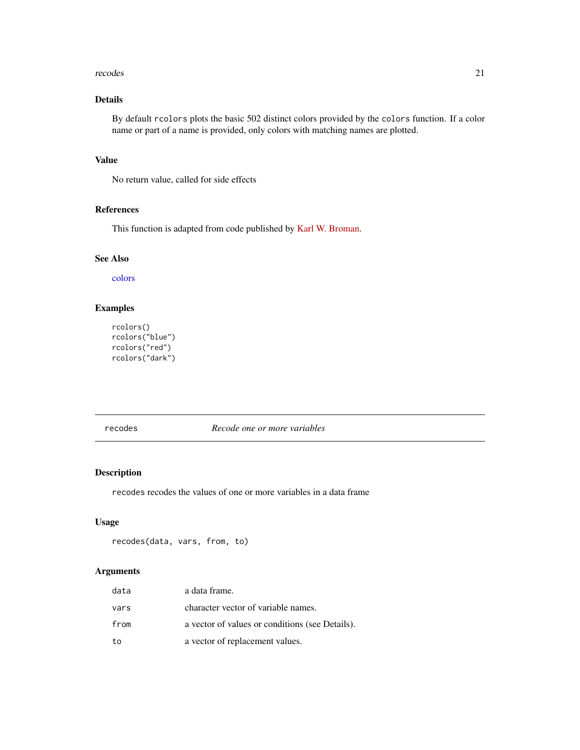#### <span id="page-20-0"></span>recodes 21

# Details

By default rcolors plots the basic 502 distinct colors provided by the colors function. If a color name or part of a name is provided, only colors with matching names are plotted.

# Value

No return value, called for side effects

# References

This function is adapted from code published by [Karl W. Broman.](https://github.com/kbroman/broman)

#### See Also

[colors](#page-0-0)

# Examples

```
rcolors()
rcolors("blue")
rcolors("red")
rcolors("dark")
```
recodes *Recode one or more variables*

#### Description

recodes recodes the values of one or more variables in a data frame

#### Usage

```
recodes(data, vars, from, to)
```
# Arguments

| data | a data frame.                                   |
|------|-------------------------------------------------|
| vars | character vector of variable names.             |
| from | a vector of values or conditions (see Details). |
| to   | a vector of replacement values.                 |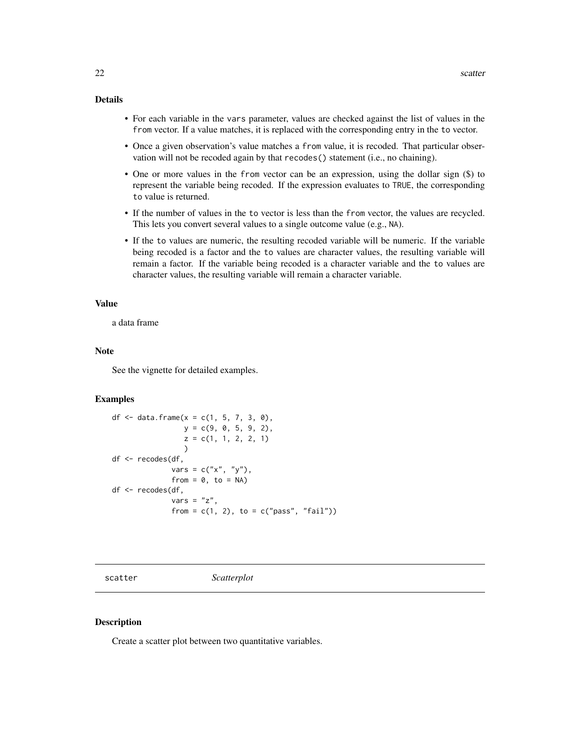#### <span id="page-21-0"></span>Details

- For each variable in the vars parameter, values are checked against the list of values in the from vector. If a value matches, it is replaced with the corresponding entry in the to vector.
- Once a given observation's value matches a from value, it is recoded. That particular observation will not be recoded again by that recodes() statement (i.e., no chaining).
- One or more values in the from vector can be an expression, using the dollar sign (\$) to represent the variable being recoded. If the expression evaluates to TRUE, the corresponding to value is returned.
- If the number of values in the to vector is less than the from vector, the values are recycled. This lets you convert several values to a single outcome value (e.g., NA).
- If the to values are numeric, the resulting recoded variable will be numeric. If the variable being recoded is a factor and the to values are character values, the resulting variable will remain a factor. If the variable being recoded is a character variable and the to values are character values, the resulting variable will remain a character variable.

#### Value

a data frame

#### Note

See the vignette for detailed examples.

#### Examples

```
df <- data.frame(x = c(1, 5, 7, 3, 0),
                y = c(9, 0, 5, 9, 2),
                z = c(1, 1, 2, 2, 1))
df <- recodes(df,
              vars = c("x", "y"),
              from = 0, to = NA)
df <- recodes(df,
              vars = "z",from = c(1, 2), to = c("pass", "fail")
```
scatter *Scatterplot*

#### Description

Create a scatter plot between two quantitative variables.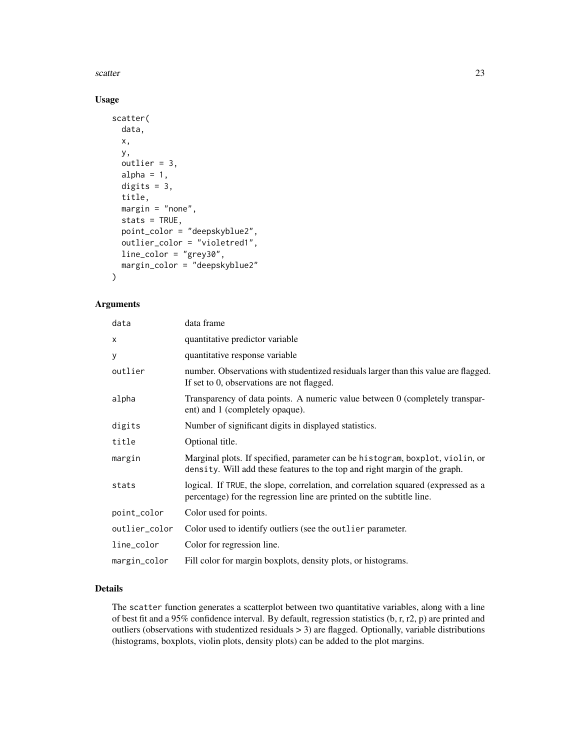scatter  $\sim$  23

# Usage

```
scatter(
  data,
  x,
 y,
 outlier = 3,
  alpha = 1,
  digits = 3,
  title,
  margin = "none",
  stats = TRUE,
  point_color = "deepskyblue2",
  outlier_color = "violetred1",
  line_color = "grey30",
 margin_color = "deepskyblue2"
)
```
#### Arguments

| data          | data frame                                                                                                                                                  |
|---------------|-------------------------------------------------------------------------------------------------------------------------------------------------------------|
| x             | quantitative predictor variable                                                                                                                             |
| y             | quantitative response variable                                                                                                                              |
| outlier       | number. Observations with studentized residuals larger than this value are flagged.<br>If set to 0, observations are not flagged.                           |
| alpha         | Transparency of data points. A numeric value between 0 (completely transpar-<br>ent) and 1 (completely opaque).                                             |
| digits        | Number of significant digits in displayed statistics.                                                                                                       |
| title         | Optional title.                                                                                                                                             |
| margin        | Marginal plots. If specified, parameter can be histogram, boxplot, violin, or<br>density. Will add these features to the top and right margin of the graph. |
| stats         | logical. If TRUE, the slope, correlation, and correlation squared (expressed as a<br>percentage) for the regression line are printed on the subtitle line.  |
| point_color   | Color used for points.                                                                                                                                      |
| outlier_color | Color used to identify outliers (see the outlier parameter.                                                                                                 |
| line_color    | Color for regression line.                                                                                                                                  |
| margin_color  | Fill color for margin boxplots, density plots, or histograms.                                                                                               |

# Details

The scatter function generates a scatterplot between two quantitative variables, along with a line of best fit and a 95% confidence interval. By default, regression statistics (b, r, r2, p) are printed and outliers (observations with studentized residuals > 3) are flagged. Optionally, variable distributions (histograms, boxplots, violin plots, density plots) can be added to the plot margins.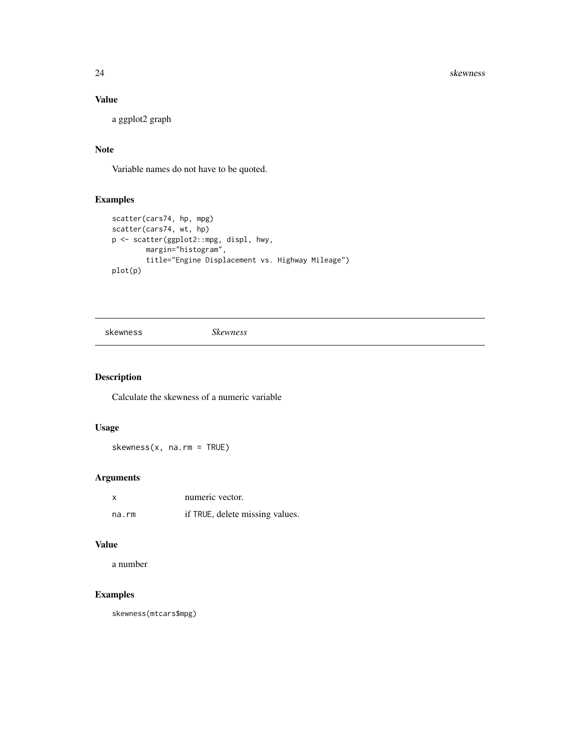<span id="page-23-0"></span>24 skewness and the set of the set of the set of the set of the set of the set of the set of the set of the set of the set of the set of the set of the set of the set of the set of the set of the set of the set of the set

# Value

a ggplot2 graph

# Note

Variable names do not have to be quoted.

# Examples

```
scatter(cars74, hp, mpg)
scatter(cars74, wt, hp)
p <- scatter(ggplot2::mpg, displ, hwy,
       margin="histogram",
       title="Engine Displacement vs. Highway Mileage")
plot(p)
```
skewness *Skewness*

# Description

Calculate the skewness of a numeric variable

# Usage

skewness(x, na.rm = TRUE)

# Arguments

| x     | numeric vector.                 |
|-------|---------------------------------|
| na.rm | if TRUE, delete missing values. |

# Value

a number

# Examples

skewness(mtcars\$mpg)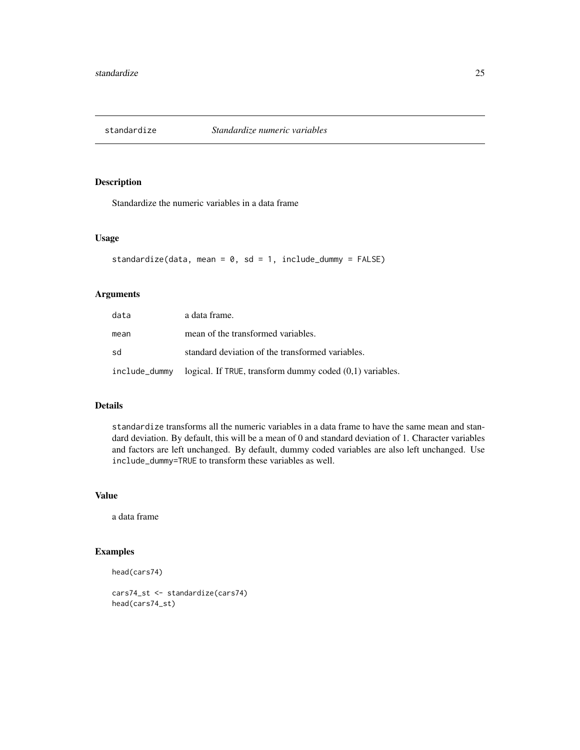<span id="page-24-0"></span>

Standardize the numeric variables in a data frame

# Usage

```
standardize(data, mean = 0, sd = 1, include_dummy = FALSE)
```
### Arguments

| data          | a data frame.                                              |
|---------------|------------------------------------------------------------|
| mean          | mean of the transformed variables.                         |
| sd            | standard deviation of the transformed variables.           |
| include_dummy | logical. If TRUE, transform dummy coded $(0,1)$ variables. |

# Details

standardize transforms all the numeric variables in a data frame to have the same mean and standard deviation. By default, this will be a mean of 0 and standard deviation of 1. Character variables and factors are left unchanged. By default, dummy coded variables are also left unchanged. Use include\_dummy=TRUE to transform these variables as well.

#### Value

a data frame

# Examples

```
head(cars74)
```

```
cars74_st <- standardize(cars74)
head(cars74_st)
```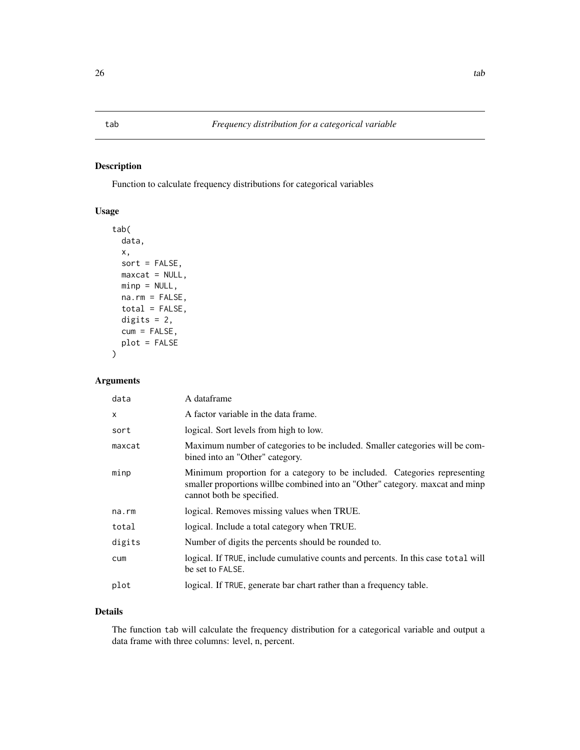<span id="page-25-0"></span>Function to calculate frequency distributions for categorical variables

# Usage

```
tab(
  data,
  x,
  sort = FALSE,
 maxcat = NULL,minp = NULL,na.rm = FALSE,
  total = FALSE,digits = 2,
  cum = FALSE,
 plot = FALSE
\mathcal{L}
```
# Arguments

| data   | A dataframe                                                                                                                                                                             |
|--------|-----------------------------------------------------------------------------------------------------------------------------------------------------------------------------------------|
| X      | A factor variable in the data frame.                                                                                                                                                    |
| sort   | logical. Sort levels from high to low.                                                                                                                                                  |
| maxcat | Maximum number of categories to be included. Smaller categories will be com-<br>bined into an "Other" category.                                                                         |
| minp   | Minimum proportion for a category to be included. Categories representing<br>smaller proportions willbe combined into an "Other" category. maxcat and minp<br>cannot both be specified. |
| na.rm  | logical. Removes missing values when TRUE.                                                                                                                                              |
| total  | logical. Include a total category when TRUE.                                                                                                                                            |
| digits | Number of digits the percents should be rounded to.                                                                                                                                     |
| cum    | logical. If TRUE, include cumulative counts and percents. In this case total will<br>be set to FALSE.                                                                                   |
| plot   | logical. If TRUE, generate bar chart rather than a frequency table.                                                                                                                     |
|        |                                                                                                                                                                                         |

# Details

The function tab will calculate the frequency distribution for a categorical variable and output a data frame with three columns: level, n, percent.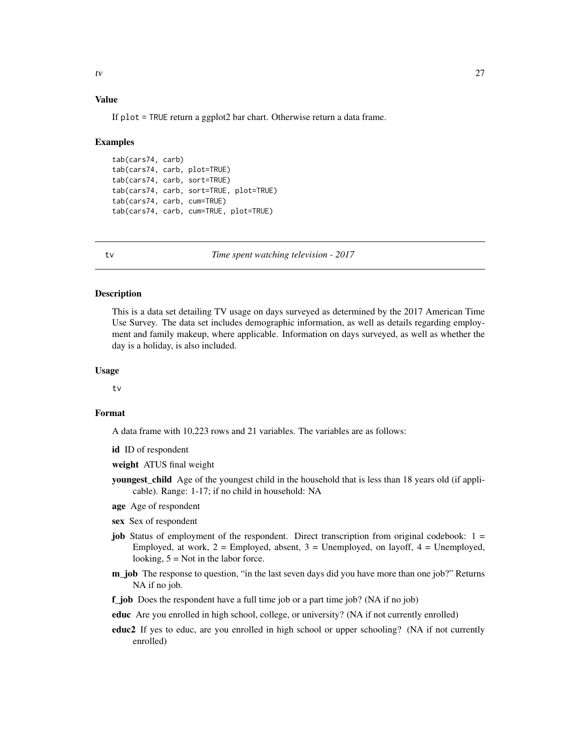#### <span id="page-26-0"></span>Value

If plot = TRUE return a ggplot2 bar chart. Otherwise return a data frame.

#### Examples

```
tab(cars74, carb)
tab(cars74, carb, plot=TRUE)
tab(cars74, carb, sort=TRUE)
tab(cars74, carb, sort=TRUE, plot=TRUE)
tab(cars74, carb, cum=TRUE)
tab(cars74, carb, cum=TRUE, plot=TRUE)
```
tv *Time spent watching television - 2017*

#### Description

This is a data set detailing TV usage on days surveyed as determined by the 2017 American Time Use Survey. The data set includes demographic information, as well as details regarding employment and family makeup, where applicable. Information on days surveyed, as well as whether the day is a holiday, is also included.

#### Usage

tv

#### Format

A data frame with 10,223 rows and 21 variables. The variables are as follows:

id ID of respondent

weight ATUS final weight

- **youngest child** Age of the youngest child in the household that is less than 18 years old (if applicable). Range: 1-17; if no child in household: NA
- age Age of respondent
- sex Sex of respondent
- job Status of employment of the respondent. Direct transcription from original codebook:  $1 =$ Employed, at work,  $2 =$  Employed, absent,  $3 =$  Unemployed, on layoff,  $4 =$  Unemployed, looking,  $5 = Not$  in the labor force.
- m\_job The response to question, "in the last seven days did you have more than one job?" Returns NA if no job.
- f job Does the respondent have a full time job or a part time job? (NA if no job)
- educ Are you enrolled in high school, college, or university? (NA if not currently enrolled)
- educ2 If yes to educ, are you enrolled in high school or upper schooling? (NA if not currently enrolled)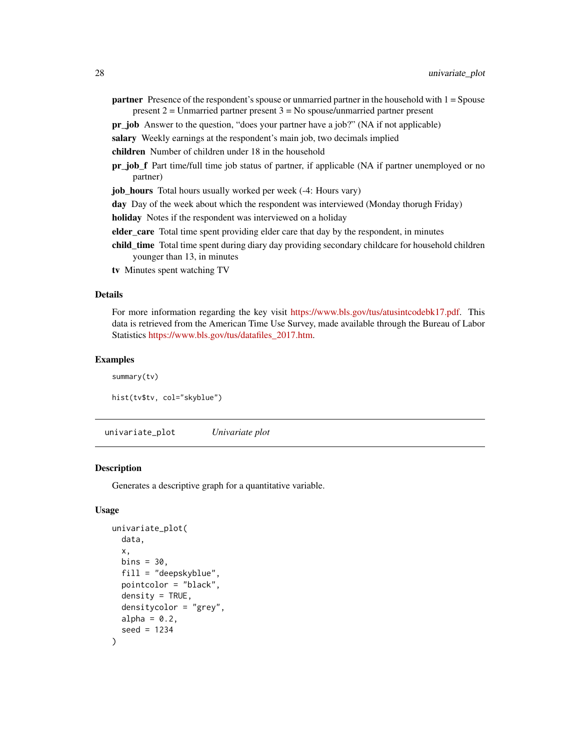<span id="page-27-0"></span>**partner** Presence of the respondent's spouse or unmarried partner in the household with  $1 = Spouse$ present  $2 =$  Unmarried partner present  $3 =$  No spouse/unmarried partner present

pr\_job Answer to the question, "does your partner have a job?" (NA if not applicable)

salary Weekly earnings at the respondent's main job, two decimals implied

children Number of children under 18 in the household

pr\_job\_f Part time/full time job status of partner, if applicable (NA if partner unemployed or no partner)

job\_hours Total hours usually worked per week (-4: Hours vary)

day Day of the week about which the respondent was interviewed (Monday thorugh Friday)

holiday Notes if the respondent was interviewed on a holiday

elder\_care Total time spent providing elder care that day by the respondent, in minutes

- child\_time Total time spent during diary day providing secondary childcare for household children younger than 13, in minutes
- tv Minutes spent watching TV

#### Details

For more information regarding the key visit [https://www.bls.gov/tus/atusintcodebk17.pdf.](https://www.bls.gov/tus/atusintcodebk17.pdf) This data is retrieved from the American Time Use Survey, made available through the Bureau of Labor Statistics [https://www.bls.gov/tus/datafiles\\_2017.htm.](https://www.bls.gov/tus/datafiles_2017.htm)

#### Examples

summary(tv) hist(tv\$tv, col="skyblue")

univariate\_plot *Univariate plot*

# **Description**

Generates a descriptive graph for a quantitative variable.

#### Usage

```
univariate_plot(
  data,
  x,
  bins = 30,
  fill = "deepskyblue",
  pointcolor = "black",
  density = TRUE,densitycolor = "grey",
  alpha = 0.2,
  seed = 1234
)
```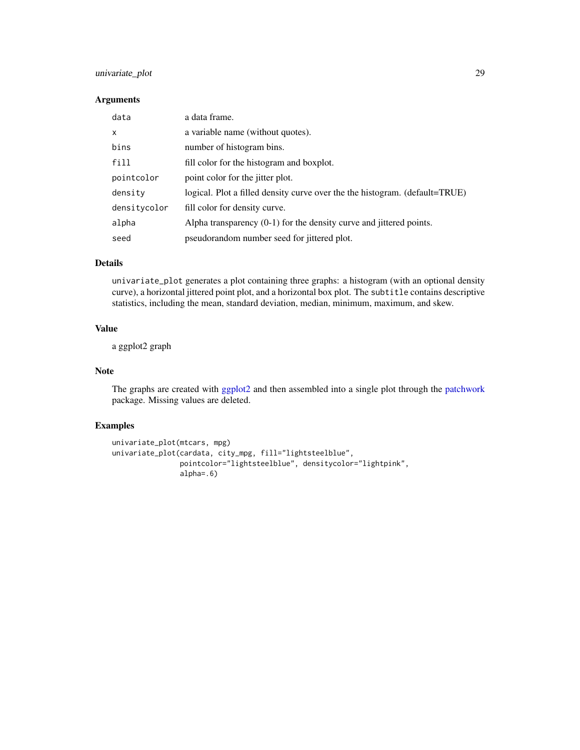# <span id="page-28-0"></span>univariate\_plot 29

#### Arguments

| data         | a data frame.                                                               |
|--------------|-----------------------------------------------------------------------------|
| $\times$     | a variable name (without quotes).                                           |
| bins         | number of histogram bins.                                                   |
| fill         | fill color for the histogram and boxplot.                                   |
| pointcolor   | point color for the jitter plot.                                            |
| density      | logical. Plot a filled density curve over the the histogram. (default=TRUE) |
| densitycolor | fill color for density curve.                                               |
| alpha        | Alpha transparency $(0-1)$ for the density curve and jittered points.       |
| seed         | pseudorandom number seed for jittered plot.                                 |

# Details

univariate\_plot generates a plot containing three graphs: a histogram (with an optional density curve), a horizontal jittered point plot, and a horizontal box plot. The subtitle contains descriptive statistics, including the mean, standard deviation, median, minimum, maximum, and skew.

# Value

a ggplot2 graph

#### Note

The graphs are created with [ggplot2](#page-0-0) and then assembled into a single plot through the [patchwork](#page-0-0) package. Missing values are deleted.

#### Examples

```
univariate_plot(mtcars, mpg)
univariate_plot(cardata, city_mpg, fill="lightsteelblue",
                pointcolor="lightsteelblue", densitycolor="lightpink",
                alpha=.6)
```